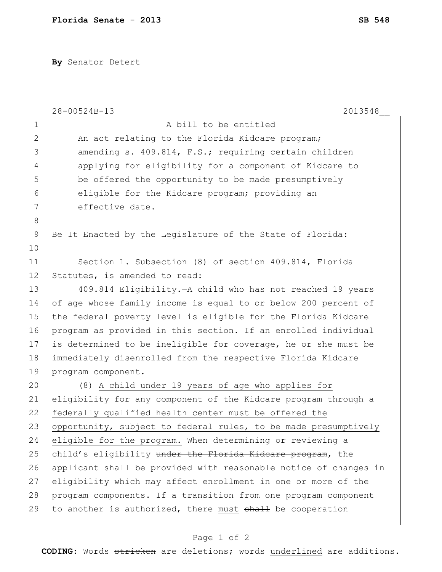**By** Senator Detert

|               | 28-00524B-13<br>2013548                                          |
|---------------|------------------------------------------------------------------|
| $\mathbf 1$   | A bill to be entitled                                            |
| $\mathbf{2}$  | An act relating to the Florida Kidcare program;                  |
| 3             | amending s. 409.814, F.S.; requiring certain children            |
| 4             | applying for eligibility for a component of Kidcare to           |
| 5             | be offered the opportunity to be made presumptively              |
| 6             | eligible for the Kidcare program; providing an                   |
| 7             | effective date.                                                  |
| $\,8\,$       |                                                                  |
| $\mathcal{G}$ | Be It Enacted by the Legislature of the State of Florida:        |
| 10            |                                                                  |
| 11            | Section 1. Subsection (8) of section 409.814, Florida            |
| 12            | Statutes, is amended to read:                                    |
| 13            | 409.814 Eligibility. - A child who has not reached 19 years      |
| 14            | of age whose family income is equal to or below 200 percent of   |
| 15            | the federal poverty level is eligible for the Florida Kidcare    |
| 16            | program as provided in this section. If an enrolled individual   |
| 17            | is determined to be ineligible for coverage, he or she must be   |
| 18            | immediately disenrolled from the respective Florida Kidcare      |
| 19            | program component.                                               |
| 20            | (8) A child under 19 years of age who applies for                |
| 21            | eligibility for any component of the Kidcare program through a   |
| 22            | federally qualified health center must be offered the            |
| 23            | opportunity, subject to federal rules, to be made presumptively  |
| 24            | eligible for the program. When determining or reviewing a        |
| 25            | child's eligibility under the Florida Kidcare program, the       |
| 26            | applicant shall be provided with reasonable notice of changes in |
| 27            | eligibility which may affect enrollment in one or more of the    |
| 28            | program components. If a transition from one program component   |
| 29            | to another is authorized, there must shall be cooperation        |
|               |                                                                  |

## Page 1 of 2

**CODING**: Words stricken are deletions; words underlined are additions.